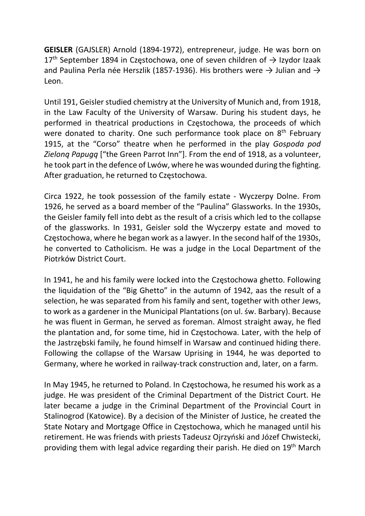GEISLER (GAJSLER) Arnold (1894-1972), entrepreneur, judge. He was born on  $17<sup>th</sup>$  September 1894 in Częstochowa, one of seven children of  $\rightarrow$  Izydor Izaak and Paulina Perla née Herszlik (1857-1936). His brothers were  $\rightarrow$  Julian and  $\rightarrow$ Leon.

Until 191, Geisler studied chemistry at the University of Munich and, from 1918, in the Law Faculty of the University of Warsaw. During his student days, he performed in theatrical productions in Częstochowa, the proceeds of which were donated to charity. One such performance took place on 8<sup>th</sup> February 1915, at the "Corso" theatre when he performed in the play Gospoda pod Zieloną Papugą ["the Green Parrot Inn"]. From the end of 1918, as a volunteer, he took part in the defence of Lwów, where he was wounded during the fighting. After graduation, he returned to Częstochowa.

Circa 1922, he took possession of the family estate - Wyczerpy Dolne. From 1926, he served as a board member of the "Paulina" Glassworks. In the 1930s, the Geisler family fell into debt as the result of a crisis which led to the collapse of the glassworks. In 1931, Geisler sold the Wyczerpy estate and moved to Częstochowa, where he began work as a lawyer. In the second half of the 1930s, he converted to Catholicism. He was a judge in the Local Department of the Piotrków District Court.

In 1941, he and his family were locked into the Częstochowa ghetto. Following the liquidation of the "Big Ghetto" in the autumn of 1942, aas the result of a selection, he was separated from his family and sent, together with other Jews, to work as a gardener in the Municipal Plantations (on ul. św. Barbary). Because he was fluent in German, he served as foreman. Almost straight away, he fled the plantation and, for some time, hid in Częstochowa. Later, with the help of the Jastrzębski family, he found himself in Warsaw and continued hiding there. Following the collapse of the Warsaw Uprising in 1944, he was deported to Germany, where he worked in railway-track construction and, later, on a farm.

In May 1945, he returned to Poland. In Częstochowa, he resumed his work as a judge. He was president of the Criminal Department of the District Court. He later became a judge in the Criminal Department of the Provincial Court in Stalinogrod (Katowice). By a decision of the Minister of Justice, he created the State Notary and Mortgage Office in Częstochowa, which he managed until his retirement. He was friends with priests Tadeusz Ojrzyński and Józef Chwistecki, providing them with legal advice regarding their parish. He died on 19<sup>th</sup> March